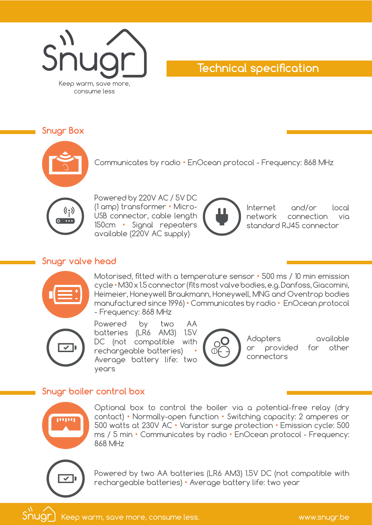

# **Technical specification**

**Snugr Box**



Communicates by radio • EnOcean protocol - Frequency: 868 MHz



Powered by 220V AC / 5V DC (1 amp) transformer • Micro-USB connector, cable length 150cm • Signal repeaters available (220V AC supply)



Internet and/or local network connection via standard RJ45 connector

### **Snugr valve head**



Motorised, fitted with a temperature sensor • 500 ms / 10 min emission cycle• M30 x 1.5 connector (fits most valve bodies, e.g. Danfoss, Giacomini, Heimeier, Honeywell Braukmann, Honeywell, MNG and Oventrop bodies manufactured since 1996) • Communicates by radio • EnOcean protocol - Frequency: 868 MHz



Powered by two AA batteries (LR6 AM3) 1.5V DC (not compatible with rechargeable batteries) • Average battery life: two years



Adapters available or provided for other connectors

#### **Snugr boiler control box**



Optional box to control the boiler via a potential-free relay (dry contact) • Normally-open function • Switching capacity: 2 amperes or 500 watts at 230V AC • Varistor surge protection • Emission cycle: 500 ms / 5 min • Communicates by radio • EnOcean protocol - Frequency: 868 MHz



Powered by two AA batteries (LR6 AM3) 1.5V DC (not compatible with rechargeable batteries) • Average battery life: two year